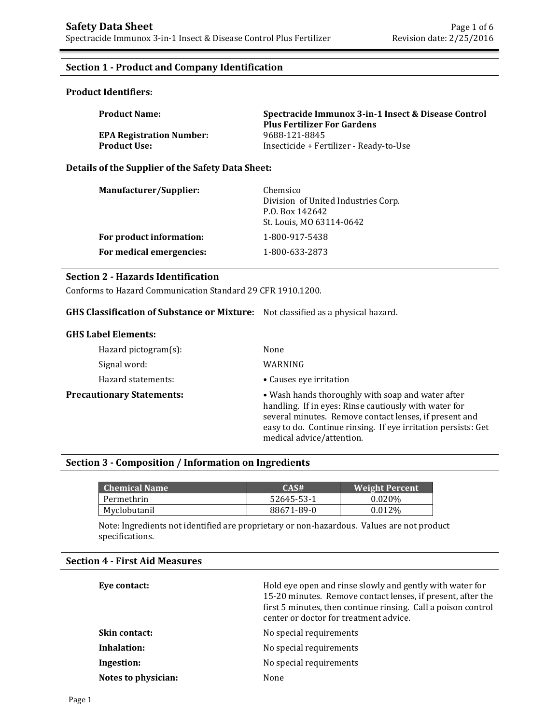# **Section 1 - Product and Company Identification**

## **Product Identifiers:**

| <b>Product Name:</b>            | Spectracide Immunox 3-in-1 Insect & Disease Control<br><b>Plus Fertilizer For Gardens</b> |
|---------------------------------|-------------------------------------------------------------------------------------------|
| <b>EPA Registration Number:</b> | 9688-121-8845                                                                             |
| <b>Product Use:</b>             | Insecticide + Fertilizer - Ready-to-Use                                                   |

### **Details of the Supplier of the Safety Data Sheet:**

| Manufacturer/Supplier:   | Chemsico<br>Division of United Industries Corp.<br>P.O. Box 142642<br>St. Louis, MO 63114-0642 |
|--------------------------|------------------------------------------------------------------------------------------------|
| For product information: | 1-800-917-5438                                                                                 |
| For medical emergencies: | 1-800-633-2873                                                                                 |

## **Section 2 - Hazards Identification**

Conforms to Hazard Communication Standard 29 CFR 1910.1200.

### **GHS Classification of Substance or Mixture:** Not classified as a physical hazard.

### **GHS Label Elements:**

| Hazard pictogram(s):             | None                                                                                                                                                                                                                                                               |
|----------------------------------|--------------------------------------------------------------------------------------------------------------------------------------------------------------------------------------------------------------------------------------------------------------------|
| Signal word:                     | WARNING                                                                                                                                                                                                                                                            |
| Hazard statements:               | • Causes eye irritation                                                                                                                                                                                                                                            |
| <b>Precautionary Statements:</b> | • Wash hands thoroughly with soap and water after<br>handling. If in eyes: Rinse cautiously with water for<br>several minutes. Remove contact lenses, if present and<br>easy to do. Continue rinsing. If eye irritation persists: Get<br>medical advice/attention. |

# **Section 3 - Composition / Information on Ingredients**

| <b>Chemical Name</b> | CAS#       | <b>Weight Percent</b> |
|----------------------|------------|-----------------------|
| Permethrin           | 52645-53-1 | $0.020\%$             |
| Myclobutanil         | 88671-89-0 | 0.012\%               |

Note: Ingredients not identified are proprietary or non-hazardous. Values are not product specifications.

## **Section 4 - First Aid Measures**

| Eye contact:         | Hold eye open and rinse slowly and gently with water for<br>15-20 minutes. Remove contact lenses, if present, after the<br>first 5 minutes, then continue rinsing. Call a poison control<br>center or doctor for treatment advice. |
|----------------------|------------------------------------------------------------------------------------------------------------------------------------------------------------------------------------------------------------------------------------|
| <b>Skin contact:</b> | No special requirements                                                                                                                                                                                                            |
| Inhalation:          | No special requirements                                                                                                                                                                                                            |
| Ingestion:           | No special requirements                                                                                                                                                                                                            |
| Notes to physician:  | None                                                                                                                                                                                                                               |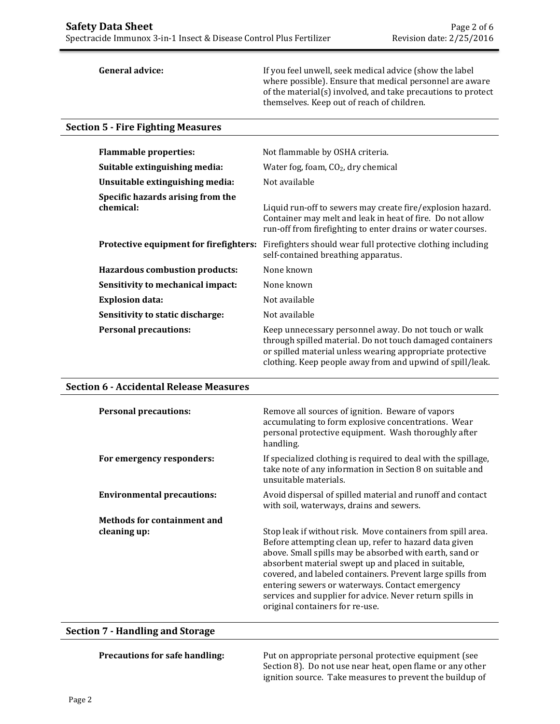**General advice:** If you feel unwell, seek medical advice (show the label where possible). Ensure that medical personnel are aware of the material(s) involved, and take precautions to protect themselves. Keep out of reach of children.

# **Section 5 - Fire Fighting Measures**

| <b>Flammable properties:</b>                   | Not flammable by OSHA criteria.                                                                                                                                                                                                              |  |  |
|------------------------------------------------|----------------------------------------------------------------------------------------------------------------------------------------------------------------------------------------------------------------------------------------------|--|--|
| Suitable extinguishing media:                  | Water fog, foam, $CO2$ , dry chemical                                                                                                                                                                                                        |  |  |
| Unsuitable extinguishing media:                | Not available                                                                                                                                                                                                                                |  |  |
| Specific hazards arising from the<br>chemical: | Liquid run-off to sewers may create fire/explosion hazard.<br>Container may melt and leak in heat of fire. Do not allow<br>run-off from firefighting to enter drains or water courses.                                                       |  |  |
| Protective equipment for firefighters:         | Firefighters should wear full protective clothing including<br>self-contained breathing apparatus.                                                                                                                                           |  |  |
| <b>Hazardous combustion products:</b>          | None known                                                                                                                                                                                                                                   |  |  |
| Sensitivity to mechanical impact:              | None known                                                                                                                                                                                                                                   |  |  |
| <b>Explosion data:</b>                         | Not available                                                                                                                                                                                                                                |  |  |
| Sensitivity to static discharge:               | Not available                                                                                                                                                                                                                                |  |  |
| <b>Personal precautions:</b>                   | Keep unnecessary personnel away. Do not touch or walk<br>through spilled material. Do not touch damaged containers<br>or spilled material unless wearing appropriate protective<br>clothing. Keep people away from and upwind of spill/leak. |  |  |

### **Section 6 - Accidental Release Measures**

| <b>Personal precautions:</b>       | Remove all sources of ignition. Beware of vapors<br>accumulating to form explosive concentrations. Wear<br>personal protective equipment. Wash thoroughly after<br>handling.                                                                                                                                                                                                                                                                            |
|------------------------------------|---------------------------------------------------------------------------------------------------------------------------------------------------------------------------------------------------------------------------------------------------------------------------------------------------------------------------------------------------------------------------------------------------------------------------------------------------------|
| For emergency responders:          | If specialized clothing is required to deal with the spillage,<br>take note of any information in Section 8 on suitable and<br>unsuitable materials.                                                                                                                                                                                                                                                                                                    |
| <b>Environmental precautions:</b>  | Avoid dispersal of spilled material and runoff and contact<br>with soil, waterways, drains and sewers.                                                                                                                                                                                                                                                                                                                                                  |
| <b>Methods for containment and</b> |                                                                                                                                                                                                                                                                                                                                                                                                                                                         |
| cleaning up:                       | Stop leak if without risk. Move containers from spill area.<br>Before attempting clean up, refer to hazard data given<br>above. Small spills may be absorbed with earth, sand or<br>absorbent material swept up and placed in suitable,<br>covered, and labeled containers. Prevent large spills from<br>entering sewers or waterways. Contact emergency<br>services and supplier for advice. Never return spills in<br>original containers for re-use. |

# **Section 7 - Handling and Storage**

| <b>Precautions for safe handling:</b> | Put on appropriate personal protective equipment (see     |
|---------------------------------------|-----------------------------------------------------------|
|                                       | Section 8). Do not use near heat, open flame or any other |
|                                       | ignition source. Take measures to prevent the buildup of  |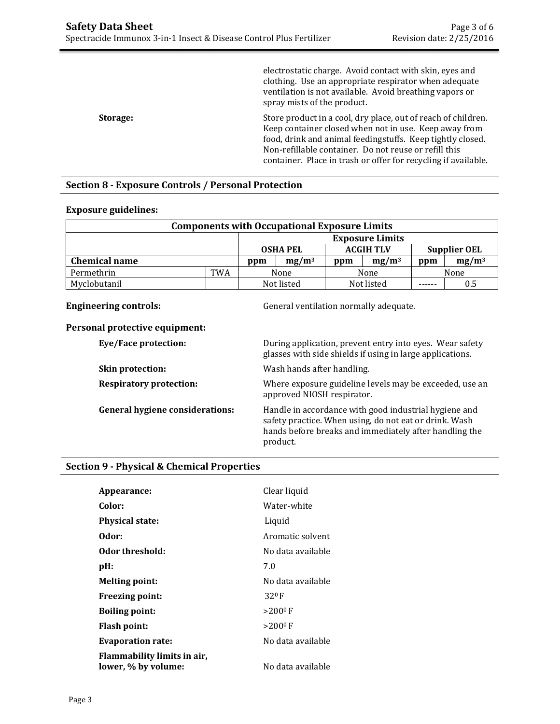|          | electrostatic charge. Avoid contact with skin, eyes and<br>clothing. Use an appropriate respirator when adequate<br>ventilation is not available. Avoid breathing vapors or<br>spray mists of the product.                                                                                                      |
|----------|-----------------------------------------------------------------------------------------------------------------------------------------------------------------------------------------------------------------------------------------------------------------------------------------------------------------|
| Storage: | Store product in a cool, dry place, out of reach of children.<br>Keep container closed when not in use. Keep away from<br>food, drink and animal feedingstuffs. Keep tightly closed.<br>Non-refillable container. Do not reuse or refill this<br>container. Place in trash or offer for recycling if available. |

## **Section 8 - Exposure Controls / Personal Protection**

## **Exposure guidelines:**

| <b>Components with Occupational Exposure Limits</b> |     |                                                            |  |            |          |      |          |
|-----------------------------------------------------|-----|------------------------------------------------------------|--|------------|----------|------|----------|
|                                                     |     | <b>Exposure Limits</b>                                     |  |            |          |      |          |
|                                                     |     | <b>ACGIH TLV</b><br><b>OSHA PEL</b><br><b>Supplier OEL</b> |  |            |          |      |          |
| <b>Chemical name</b>                                |     | $mg/m^3$<br>ppm                                            |  | ppm        | $mg/m^3$ | ppm  | $mg/m^3$ |
| Permethrin                                          | TWA | None                                                       |  | None       |          | None |          |
| Myclobutanil                                        |     | Not listed                                                 |  | Not listed |          |      | 0.5      |

**Engineering controls: Controls: General ventilation normally adequate.** 

### **Personal protective equipment:**

| <b>Eye/Face protection:</b>            | During application, prevent entry into eyes. Wear safety<br>glasses with side shields if using in large applications.                                                                 |
|----------------------------------------|---------------------------------------------------------------------------------------------------------------------------------------------------------------------------------------|
| Skin protection:                       | Wash hands after handling.                                                                                                                                                            |
| <b>Respiratory protection:</b>         | Where exposure guideline levels may be exceeded, use an<br>approved NIOSH respirator.                                                                                                 |
| <b>General hygiene considerations:</b> | Handle in accordance with good industrial hygiene and<br>safety practice. When using, do not eat or drink. Wash<br>hands before breaks and immediately after handling the<br>product. |

# **Section 9 - Physical & Chemical Properties**

| Appearance:                                        | Clear liquid      |
|----------------------------------------------------|-------------------|
| Color:                                             | Water-white       |
| <b>Physical state:</b>                             | Liquid            |
| Odor:                                              | Aromatic solvent  |
| Odor threshold:                                    | No data available |
| pH:                                                | 7.0               |
| <b>Melting point:</b>                              | No data available |
| <b>Freezing point:</b>                             | 320 F             |
| <b>Boiling point:</b>                              | $>200^{\circ}$ F  |
| Flash point:                                       | $>200^{\circ}$ F  |
| <b>Evaporation rate:</b>                           | No data available |
| Flammability limits in air,<br>lower, % by volume: | No data available |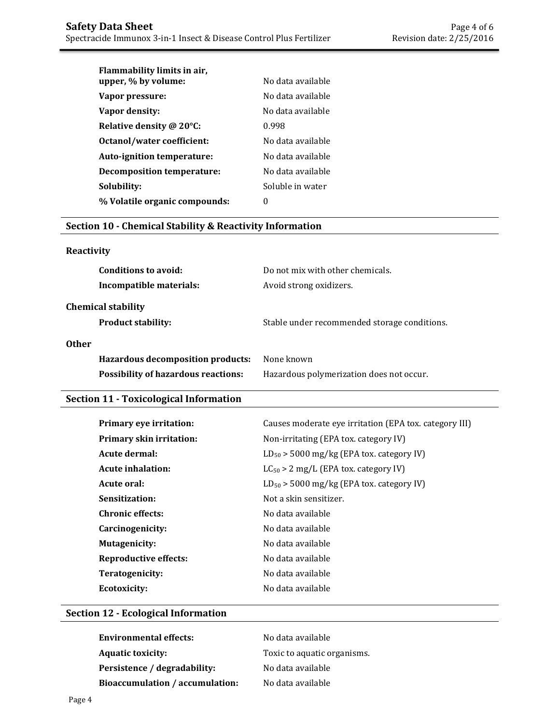| Flammability limits in air,<br>upper, % by volume: | No data available |
|----------------------------------------------------|-------------------|
| Vapor pressure:                                    | No data available |
| Vapor density:                                     | No data available |
| Relative density @ 20°C:                           | 0.998             |
| Octanol/water coefficient:                         | No data available |
| Auto-ignition temperature:                         | No data available |
| <b>Decomposition temperature:</b>                  | No data available |
| Solubility:                                        | Soluble in water  |
| % Volatile organic compounds:                      | 0                 |

# **Section 10 - Chemical Stability & Reactivity Information**

# **Reactivity**

| Conditions to avoid:<br>Incompatible materials:        | Do not mix with other chemicals.<br>Avoid strong oxidizers. |
|--------------------------------------------------------|-------------------------------------------------------------|
| <b>Chemical stability</b><br><b>Product stability:</b> | Stable under recommended storage conditions.                |
| <b>Other</b>                                           |                                                             |
| Hazardous decomposition products:                      | None known                                                  |
| <b>Possibility of hazardous reactions:</b>             | Hazardous polymerization does not occur.                    |

# **Section 11 - Toxicological Information**

| Primary eye irritation:         | Causes moderate eye irritation (EPA tox. category III) |
|---------------------------------|--------------------------------------------------------|
| <b>Primary skin irritation:</b> | Non-irritating (EPA tox. category IV)                  |
| Acute dermal:                   | $LD_{50}$ > 5000 mg/kg (EPA tox. category IV)          |
| <b>Acute inhalation:</b>        | $LC_{50} > 2$ mg/L (EPA tox. category IV)              |
| Acute oral:                     | $LD_{50}$ > 5000 mg/kg (EPA tox. category IV)          |
| Sensitization:                  | Not a skin sensitizer.                                 |
| <b>Chronic effects:</b>         | No data available                                      |
| Carcinogenicity:                | No data available                                      |
| <b>Mutagenicity:</b>            | No data available                                      |
| <b>Reproductive effects:</b>    | No data available                                      |
| Teratogenicity:                 | No data available                                      |
| Ecotoxicity:                    | No data available                                      |

# **Section 12 - Ecological Information**

| <b>Environmental effects:</b>   | No data available           |
|---------------------------------|-----------------------------|
| <b>Aquatic toxicity:</b>        | Toxic to aquatic organisms. |
| Persistence / degradability:    | No data available           |
| Bioaccumulation / accumulation: | No data available           |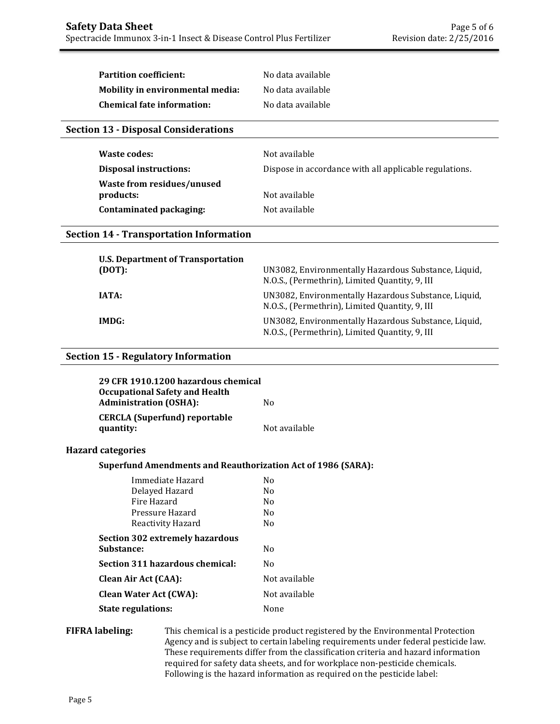| <b>Partition coefficient:</b>     | No data available |
|-----------------------------------|-------------------|
| Mobility in environmental media:  | No data available |
| <b>Chemical fate information:</b> | No data available |

## **Section 13 - Disposal Considerations**

| Waste codes:                            | Not available                                          |
|-----------------------------------------|--------------------------------------------------------|
| <b>Disposal instructions:</b>           | Dispose in accordance with all applicable regulations. |
| Waste from residues/unused<br>products: | Not available                                          |
| Contaminated packaging:                 | Not available                                          |

### **Section 14 - Transportation Information**

| U.S. Department of Transportation<br>(DOT): | UN3082, Environmentally Hazardous Substance, Liquid,<br>N.O.S., (Permethrin), Limited Quantity, 9, III |
|---------------------------------------------|--------------------------------------------------------------------------------------------------------|
| IATA:                                       | UN3082, Environmentally Hazardous Substance, Liquid,<br>N.O.S., (Permethrin), Limited Quantity, 9, III |
| IMDG:                                       | UN3082, Environmentally Hazardous Substance, Liquid,<br>N.O.S., (Permethrin), Limited Quantity, 9, III |

## **Section 15 - Regulatory Information**

| 29 CFR 1910.1200 hazardous chemical<br><b>Occupational Safety and Health</b><br><b>Administration (OSHA):</b> | No.           |
|---------------------------------------------------------------------------------------------------------------|---------------|
| <b>CERCLA</b> (Superfund) reportable<br>quantity:                                                             | Not available |
| <b>Hazard categories</b>                                                                                      |               |
| <b>Superfund Amendments and Reauthorization Act of 1986 (SARA):</b>                                           |               |
| Immediate Hazard                                                                                              | No.           |
| Delaved Hazard                                                                                                | N٥            |

| Delayed Hazard                  | No             |
|---------------------------------|----------------|
| Fire Hazard                     | N <sub>0</sub> |
| Pressure Hazard                 | No             |
| Reactivity Hazard               | No             |
| Section 302 extremely hazardous |                |
| <b>Substance:</b>               | No             |
| Section 311 hazardous chemical: | No             |
| <b>Clean Air Act (CAA):</b>     | Not available  |
| <b>Clean Water Act (CWA):</b>   | Not available  |
| <b>State regulations:</b>       | None           |

## **FIFRA labeling:** This chemical is a pesticide product registered by the Environmental Protection Agency and is subject to certain labeling requirements under federal pesticide law. These requirements differ from the classification criteria and hazard information required for safety data sheets, and for workplace non-pesticide chemicals. Following is the hazard information as required on the pesticide label: